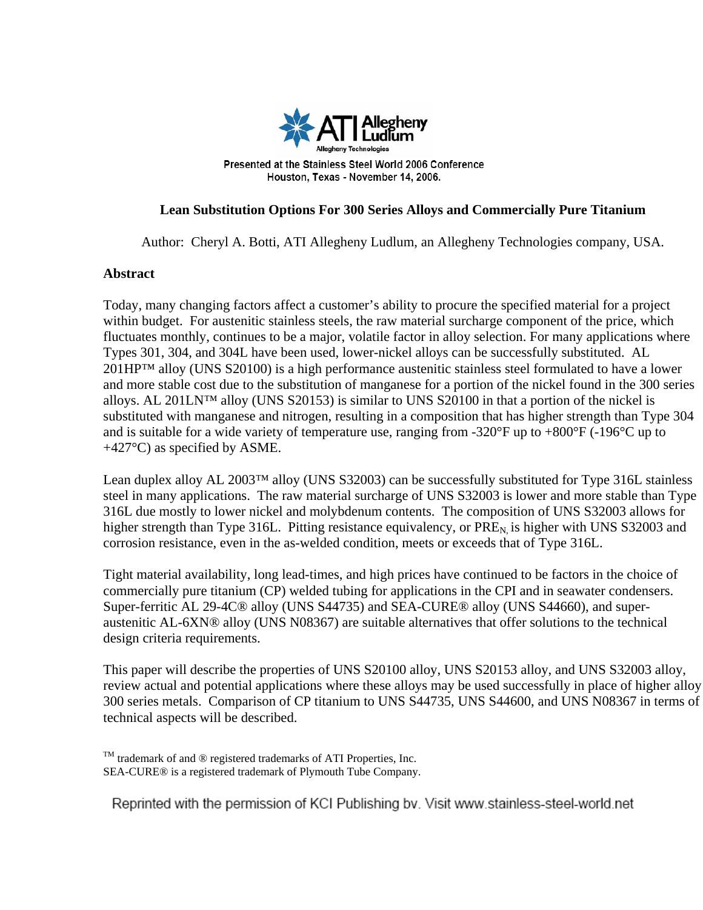

# **Lean Substitution Options For 300 Series Alloys and Commercially Pure Titanium**

Author: Cheryl A. Botti, ATI Allegheny Ludlum, an Allegheny Technologies company, USA.

#### **Abstract**

Today, many changing factors affect a customer's ability to procure the specified material for a project within budget. For austenitic stainless steels, the raw material surcharge component of the price, which fluctuates monthly, continues to be a major, volatile factor in alloy selection. For many applications where Types 301, 304, and 304L have been used, lower-nickel alloys can be successfully substituted. AL 201HP™ alloy (UNS S20100) is a high performance austenitic stainless steel formulated to have a lower and more stable cost due to the substitution of manganese for a portion of the nickel found in the 300 series alloys. AL 201LN™ alloy (UNS S20153) is similar to UNS S20100 in that a portion of the nickel is substituted with manganese and nitrogen, resulting in a composition that has higher strength than Type 304 and is suitable for a wide variety of temperature use, ranging from -320°F up to +800°F (-196°C up to +427°C) as specified by ASME.

Lean duplex alloy AL 2003™ alloy (UNS S32003) can be successfully substituted for Type 316L stainless steel in many applications. The raw material surcharge of UNS S32003 is lower and more stable than Type 316L due mostly to lower nickel and molybdenum contents. The composition of UNS S32003 allows for higher strength than Type 316L. Pitting resistance equivalency, or  $PRE<sub>N</sub>$  is higher with UNS S32003 and corrosion resistance, even in the as-welded condition, meets or exceeds that of Type 316L.

Tight material availability, long lead-times, and high prices have continued to be factors in the choice of commercially pure titanium (CP) welded tubing for applications in the CPI and in seawater condensers. Super-ferritic AL 29-4C® alloy (UNS S44735) and SEA-CURE® alloy (UNS S44660), and superaustenitic AL-6XN® alloy (UNS N08367) are suitable alternatives that offer solutions to the technical design criteria requirements.

This paper will describe the properties of UNS S20100 alloy, UNS S20153 alloy, and UNS S32003 alloy, review actual and potential applications where these alloys may be used successfully in place of higher alloy 300 series metals. Comparison of CP titanium to UNS S44735, UNS S44600, and UNS N08367 in terms of technical aspects will be described.

 $T<sup>M</sup>$  trademark of and  $\otimes$  registered trademarks of ATI Properties, Inc. SEA-CURE® is a registered trademark of Plymouth Tube Company.

Reprinted with the permission of KCI Publishing by. Visit www.stainless-steel-world.net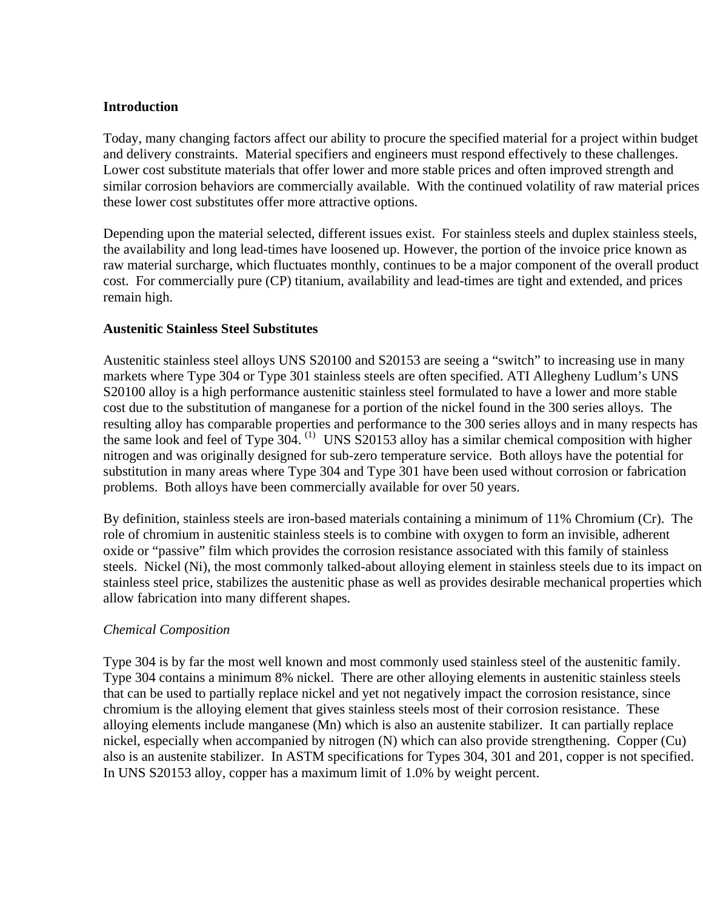#### **Introduction**

Today, many changing factors affect our ability to procure the specified material for a project within budget and delivery constraints. Material specifiers and engineers must respond effectively to these challenges. Lower cost substitute materials that offer lower and more stable prices and often improved strength and similar corrosion behaviors are commercially available. With the continued volatility of raw material prices these lower cost substitutes offer more attractive options.

Depending upon the material selected, different issues exist. For stainless steels and duplex stainless steels, the availability and long lead-times have loosened up. However, the portion of the invoice price known as raw material surcharge, which fluctuates monthly, continues to be a major component of the overall product cost. For commercially pure (CP) titanium, availability and lead-times are tight and extended, and prices remain high.

#### **Austenitic Stainless Steel Substitutes**

Austenitic stainless steel alloys UNS S20100 and S20153 are seeing a "switch" to increasing use in many markets where Type 304 or Type 301 stainless steels are often specified. ATI Allegheny Ludlum's UNS S20100 alloy is a high performance austenitic stainless steel formulated to have a lower and more stable cost due to the substitution of manganese for a portion of the nickel found in the 300 series alloys. The resulting alloy has comparable properties and performance to the 300 series alloys and in many respects has the same look and feel of Type 304. (1) UNS S20153 alloy has a similar chemical composition with higher nitrogen and was originally designed for sub-zero temperature service. Both alloys have the potential for substitution in many areas where Type 304 and Type 301 have been used without corrosion or fabrication problems. Both alloys have been commercially available for over 50 years.

By definition, stainless steels are iron-based materials containing a minimum of 11% Chromium (Cr). The role of chromium in austenitic stainless steels is to combine with oxygen to form an invisible, adherent oxide or "passive" film which provides the corrosion resistance associated with this family of stainless steels. Nickel (Ni), the most commonly talked-about alloying element in stainless steels due to its impact on stainless steel price, stabilizes the austenitic phase as well as provides desirable mechanical properties which allow fabrication into many different shapes.

# *Chemical Composition*

Type 304 is by far the most well known and most commonly used stainless steel of the austenitic family. Type 304 contains a minimum 8% nickel. There are other alloying elements in austenitic stainless steels that can be used to partially replace nickel and yet not negatively impact the corrosion resistance, since chromium is the alloying element that gives stainless steels most of their corrosion resistance. These alloying elements include manganese (Mn) which is also an austenite stabilizer. It can partially replace nickel, especially when accompanied by nitrogen (N) which can also provide strengthening. Copper (Cu) also is an austenite stabilizer. In ASTM specifications for Types 304, 301 and 201, copper is not specified. In UNS S20153 alloy, copper has a maximum limit of 1.0% by weight percent.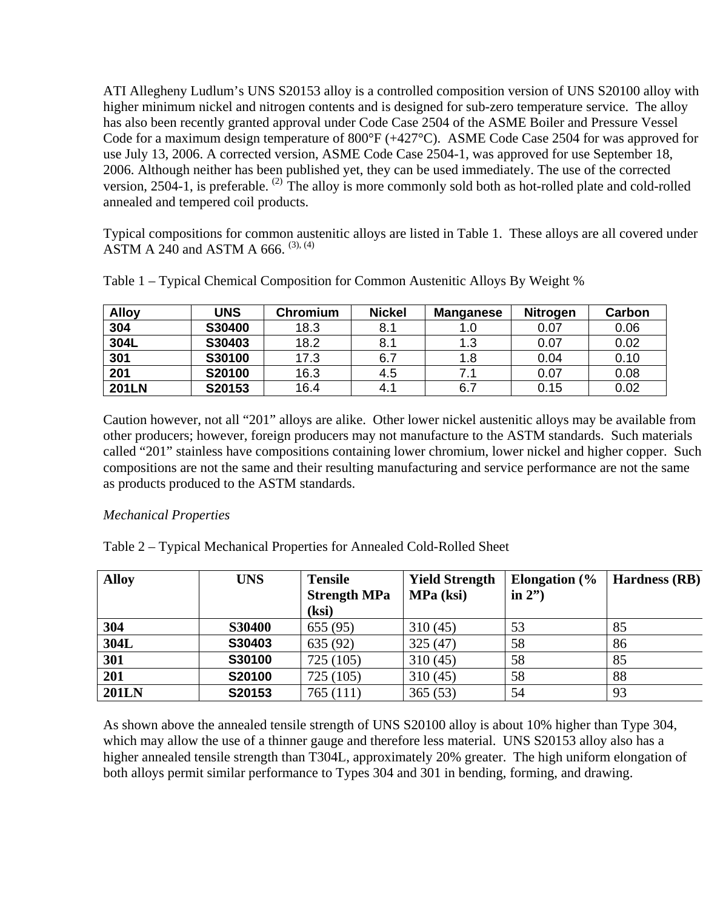ATI Allegheny Ludlum's UNS S20153 alloy is a controlled composition version of UNS S20100 alloy with higher minimum nickel and nitrogen contents and is designed for sub-zero temperature service. The alloy has also been recently granted approval under Code Case 2504 of the ASME Boiler and Pressure Vessel Code for a maximum design temperature of 800°F (+427°C). ASME Code Case 2504 for was approved for use July 13, 2006. A corrected version, ASME Code Case 2504-1, was approved for use September 18, 2006. Although neither has been published yet, they can be used immediately. The use of the corrected version, 2504-1, is preferable. <sup>(2)</sup> The alloy is more commonly sold both as hot-rolled plate and cold-rolled annealed and tempered coil products.

Typical compositions for common austenitic alloys are listed in Table 1. These alloys are all covered under ASTM A 240 and ASTM A 666.  $(3)$ ,  $(4)$ 

| <b>Alloy</b> | UNS    | <b>Chromium</b> | <b>Nickel</b> | Manganese | <b>Nitrogen</b> | Carbon |
|--------------|--------|-----------------|---------------|-----------|-----------------|--------|
| 304          | S30400 | 18.3            | 8.1           |           | 0.07            | 0.06   |
| 304L         | S30403 | 18.2            | 8.1           | 1.3       | 0.07            | 0.02   |
| 301          | S30100 | 17.3            | 6.7           | 1.8       | 0.04            | 0.10   |
| 201          | S20100 | 16.3            | 4.5           | 7.        | 0.07            | 0.08   |
| <b>201LN</b> | S20153 | 16.4            | 4.1           | 6.7       | 0.15            | 0.02   |

Table 1 – Typical Chemical Composition for Common Austenitic Alloys By Weight %

Caution however, not all "201" alloys are alike. Other lower nickel austenitic alloys may be available from other producers; however, foreign producers may not manufacture to the ASTM standards. Such materials called "201" stainless have compositions containing lower chromium, lower nickel and higher copper. Such compositions are not the same and their resulting manufacturing and service performance are not the same as products produced to the ASTM standards.

# *Mechanical Properties*

Table 2 – Typical Mechanical Properties for Annealed Cold-Rolled Sheet

| <b>Alloy</b> | <b>UNS</b>    | <b>Tensile</b><br><b>Strength MPa</b><br>(ksi) | <b>Yield Strength</b><br>MPa (ksi) | Elongation $\frac{6}{6}$<br>in $2"$ | <b>Hardness</b> (RB) |
|--------------|---------------|------------------------------------------------|------------------------------------|-------------------------------------|----------------------|
| 304          | <b>S30400</b> | 655(95)                                        | 310(45)                            | 53                                  | 85                   |
| 304L         | S30403        | 635 (92)                                       | 325(47)                            | 58                                  | 86                   |
| 301          | S30100        | 725 (105)                                      | 310(45)                            | 58                                  | 85                   |
| 201          | S20100        | 725 (105)                                      | 310(45)                            | 58                                  | 88                   |
| <b>201LN</b> | S20153        | 765 (111)                                      | 365(53)                            | 54                                  | 93                   |

As shown above the annealed tensile strength of UNS S20100 alloy is about 10% higher than Type 304, which may allow the use of a thinner gauge and therefore less material. UNS S20153 alloy also has a higher annealed tensile strength than T304L, approximately 20% greater. The high uniform elongation of both alloys permit similar performance to Types 304 and 301 in bending, forming, and drawing.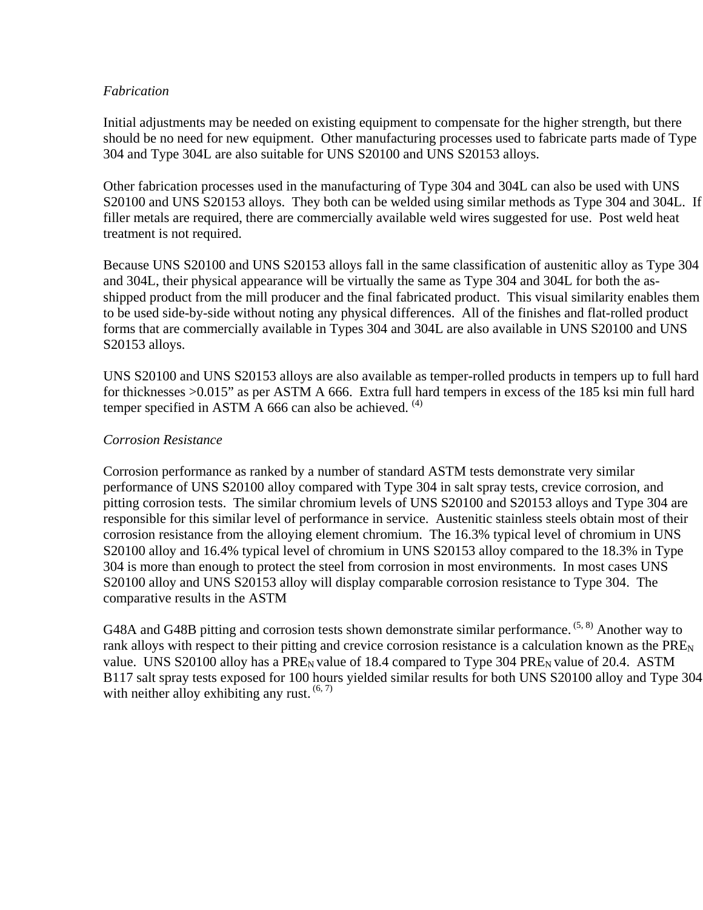#### *Fabrication*

Initial adjustments may be needed on existing equipment to compensate for the higher strength, but there should be no need for new equipment. Other manufacturing processes used to fabricate parts made of Type 304 and Type 304L are also suitable for UNS S20100 and UNS S20153 alloys.

Other fabrication processes used in the manufacturing of Type 304 and 304L can also be used with UNS S20100 and UNS S20153 alloys. They both can be welded using similar methods as Type 304 and 304L. If filler metals are required, there are commercially available weld wires suggested for use. Post weld heat treatment is not required.

Because UNS S20100 and UNS S20153 alloys fall in the same classification of austenitic alloy as Type 304 and 304L, their physical appearance will be virtually the same as Type 304 and 304L for both the asshipped product from the mill producer and the final fabricated product. This visual similarity enables them to be used side-by-side without noting any physical differences. All of the finishes and flat-rolled product forms that are commercially available in Types 304 and 304L are also available in UNS S20100 and UNS S20153 alloys.

UNS S20100 and UNS S20153 alloys are also available as temper-rolled products in tempers up to full hard for thicknesses >0.015" as per ASTM A 666. Extra full hard tempers in excess of the 185 ksi min full hard temper specified in ASTM A 666 can also be achieved.  $(4)$ 

# *Corrosion Resistance*

Corrosion performance as ranked by a number of standard ASTM tests demonstrate very similar performance of UNS S20100 alloy compared with Type 304 in salt spray tests, crevice corrosion, and pitting corrosion tests. The similar chromium levels of UNS S20100 and S20153 alloys and Type 304 are responsible for this similar level of performance in service. Austenitic stainless steels obtain most of their corrosion resistance from the alloying element chromium. The 16.3% typical level of chromium in UNS S20100 alloy and 16.4% typical level of chromium in UNS S20153 alloy compared to the 18.3% in Type 304 is more than enough to protect the steel from corrosion in most environments. In most cases UNS S20100 alloy and UNS S20153 alloy will display comparable corrosion resistance to Type 304. The comparative results in the ASTM

G48A and G48B pitting and corrosion tests shown demonstrate similar performance. <sup>(5, 8)</sup> Another way to rank alloys with respect to their pitting and crevice corrosion resistance is a calculation known as the PRE<sub>N</sub> value. UNS S20100 alloy has a  $PRE<sub>N</sub>$  value of 18.4 compared to Type 304  $PRE<sub>N</sub>$  value of 20.4. ASTM B117 salt spray tests exposed for 100 hours yielded similar results for both UNS S20100 alloy and Type 304 with neither alloy exhibiting any rust.  $(6, 7)$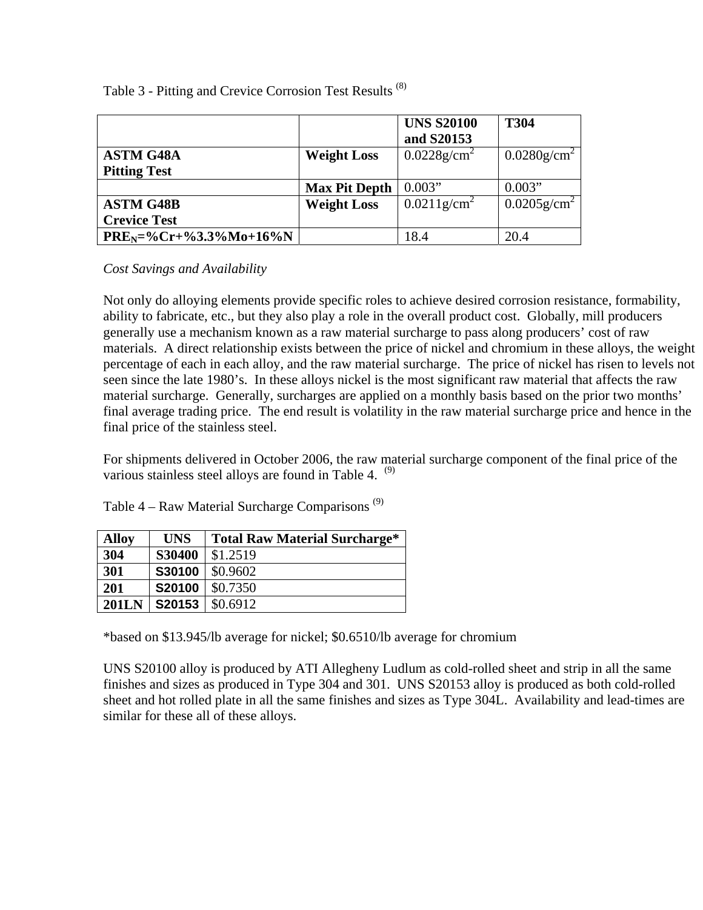|                                         |                      | <b>UNS S20100</b><br>and S20153 | <b>T304</b>                |
|-----------------------------------------|----------------------|---------------------------------|----------------------------|
| <b>ASTM G48A</b><br><b>Pitting Test</b> | <b>Weight Loss</b>   | $0.0228$ g/cm <sup>2</sup>      | $0.0280$ g/cm <sup>2</sup> |
|                                         | <b>Max Pit Depth</b> | 0.003"                          | 0.003"                     |
| <b>ASTM G48B</b>                        | <b>Weight Loss</b>   | $0.0211$ g/cm <sup>2</sup>      | $0.0205$ g/cm <sup>2</sup> |
| <b>Crevice Test</b>                     |                      |                                 |                            |
| $PREN=\%Cr+\%3.3\%Mo+16\%N$             |                      | 18.4                            | 20.4                       |

Table 3 - Pitting and Crevice Corrosion Test Results (8)

*Cost Savings and Availability* 

Not only do alloying elements provide specific roles to achieve desired corrosion resistance, formability, ability to fabricate, etc., but they also play a role in the overall product cost. Globally, mill producers generally use a mechanism known as a raw material surcharge to pass along producers' cost of raw materials. A direct relationship exists between the price of nickel and chromium in these alloys, the weight percentage of each in each alloy, and the raw material surcharge. The price of nickel has risen to levels not seen since the late 1980's. In these alloys nickel is the most significant raw material that affects the raw material surcharge. Generally, surcharges are applied on a monthly basis based on the prior two months' final average trading price. The end result is volatility in the raw material surcharge price and hence in the final price of the stainless steel.

For shipments delivered in October 2006, the raw material surcharge component of the final price of the various stainless steel alloys are found in Table 4.  $(9)$ 

Table  $4 - Raw Material$  Surcharge Comparisons<sup>(9)</sup>

| <b>Alloy</b> | <b>UNS</b> | <b>Total Raw Material Surcharge*</b> |
|--------------|------------|--------------------------------------|
| 304          | S30400     | \$1.2519                             |
| 301          | S30100     | \$0.9602                             |
| 201          | S20100     | \$0.7350                             |
| <b>201LN</b> | S20153     | \$0.6912                             |

\*based on \$13.945/lb average for nickel; \$0.6510/lb average for chromium

UNS S20100 alloy is produced by ATI Allegheny Ludlum as cold-rolled sheet and strip in all the same finishes and sizes as produced in Type 304 and 301. UNS S20153 alloy is produced as both cold-rolled sheet and hot rolled plate in all the same finishes and sizes as Type 304L. Availability and lead-times are similar for these all of these alloys.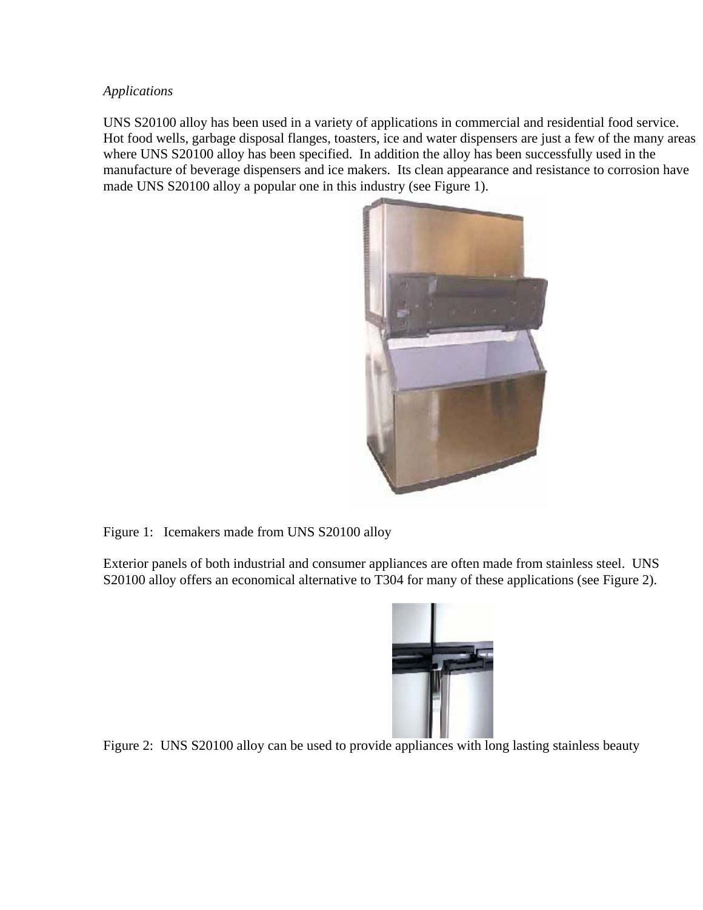#### *Applications*

UNS S20100 alloy has been used in a variety of applications in commercial and residential food service. Hot food wells, garbage disposal flanges, toasters, ice and water dispensers are just a few of the many areas where UNS S20100 alloy has been specified. In addition the alloy has been successfully used in the manufacture of beverage dispensers and ice makers. Its clean appearance and resistance to corrosion have made UNS S20100 alloy a popular one in this industry (see Figure 1).



Figure 1: Icemakers made from UNS S20100 alloy

Exterior panels of both industrial and consumer appliances are often made from stainless steel. UNS S20100 alloy offers an economical alternative to T304 for many of these applications (see Figure 2).



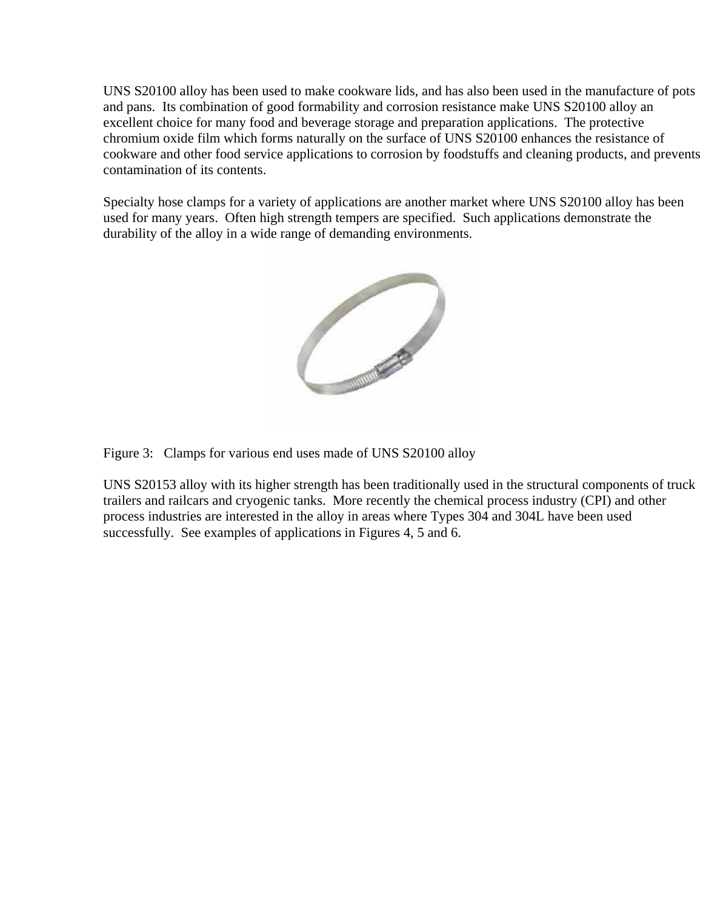UNS S20100 alloy has been used to make cookware lids, and has also been used in the manufacture of pots and pans. Its combination of good formability and corrosion resistance make UNS S20100 alloy an excellent choice for many food and beverage storage and preparation applications. The protective chromium oxide film which forms naturally on the surface of UNS S20100 enhances the resistance of cookware and other food service applications to corrosion by foodstuffs and cleaning products, and prevents contamination of its contents.

Specialty hose clamps for a variety of applications are another market where UNS S20100 alloy has been used for many years. Often high strength tempers are specified. Such applications demonstrate the durability of the alloy in a wide range of demanding environments.



Figure 3: Clamps for various end uses made of UNS S20100 alloy

UNS S20153 alloy with its higher strength has been traditionally used in the structural components of truck trailers and railcars and cryogenic tanks. More recently the chemical process industry (CPI) and other process industries are interested in the alloy in areas where Types 304 and 304L have been used successfully. See examples of applications in Figures 4, 5 and 6.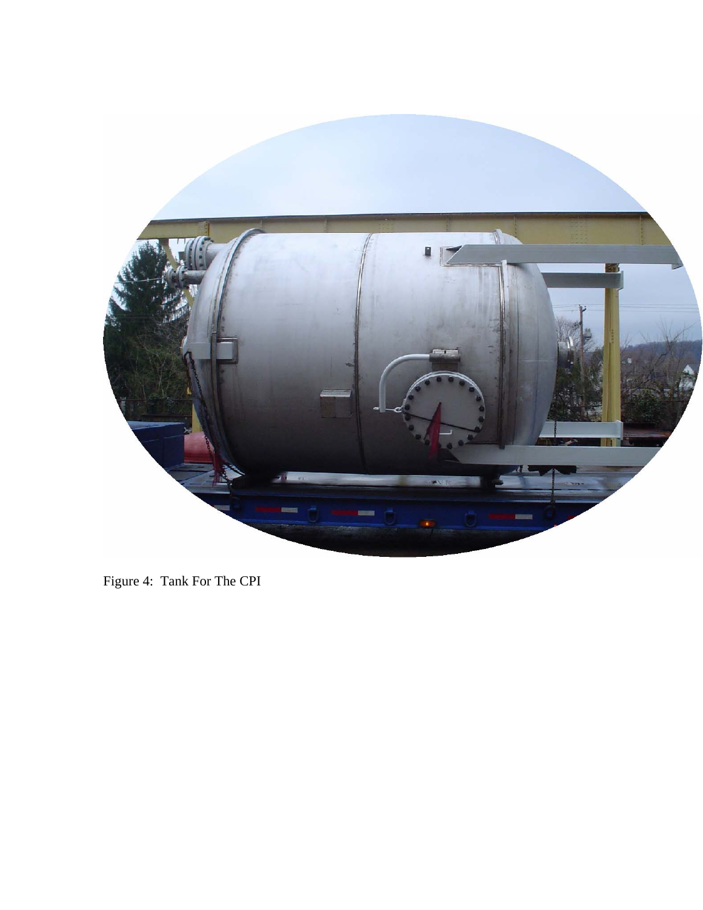

Figure 4: Tank For The CPI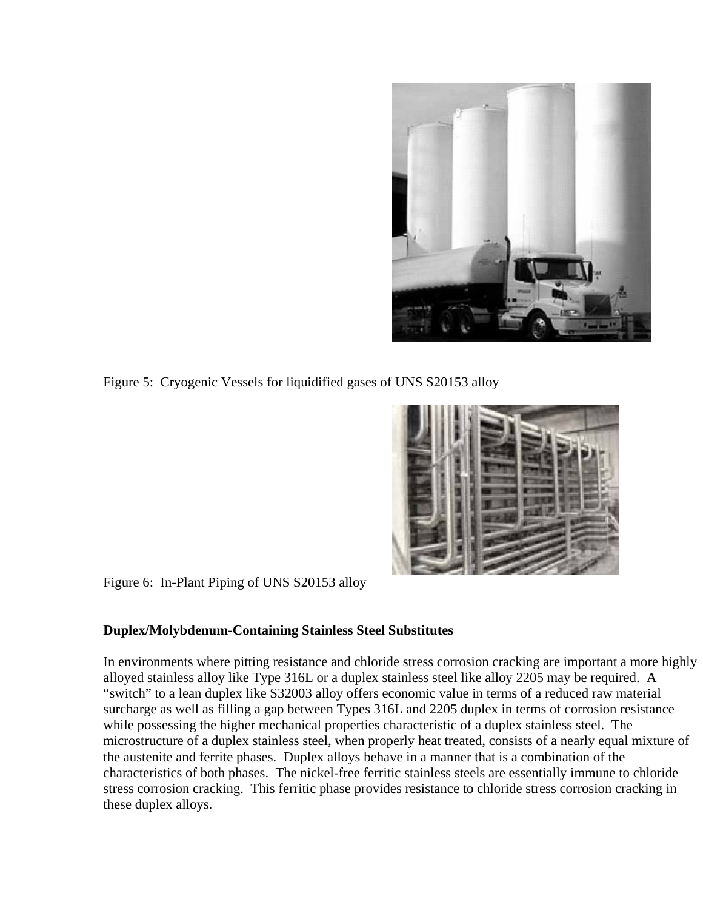

Figure 5: Cryogenic Vessels for liquidified gases of UNS S20153 alloy



Figure 6: In-Plant Piping of UNS S20153 alloy

# **Duplex/Molybdenum-Containing Stainless Steel Substitutes**

In environments where pitting resistance and chloride stress corrosion cracking are important a more highly alloyed stainless alloy like Type 316L or a duplex stainless steel like alloy 2205 may be required. A "switch" to a lean duplex like S32003 alloy offers economic value in terms of a reduced raw material surcharge as well as filling a gap between Types 316L and 2205 duplex in terms of corrosion resistance while possessing the higher mechanical properties characteristic of a duplex stainless steel. The microstructure of a duplex stainless steel, when properly heat treated, consists of a nearly equal mixture of the austenite and ferrite phases. Duplex alloys behave in a manner that is a combination of the characteristics of both phases. The nickel-free ferritic stainless steels are essentially immune to chloride stress corrosion cracking. This ferritic phase provides resistance to chloride stress corrosion cracking in these duplex alloys.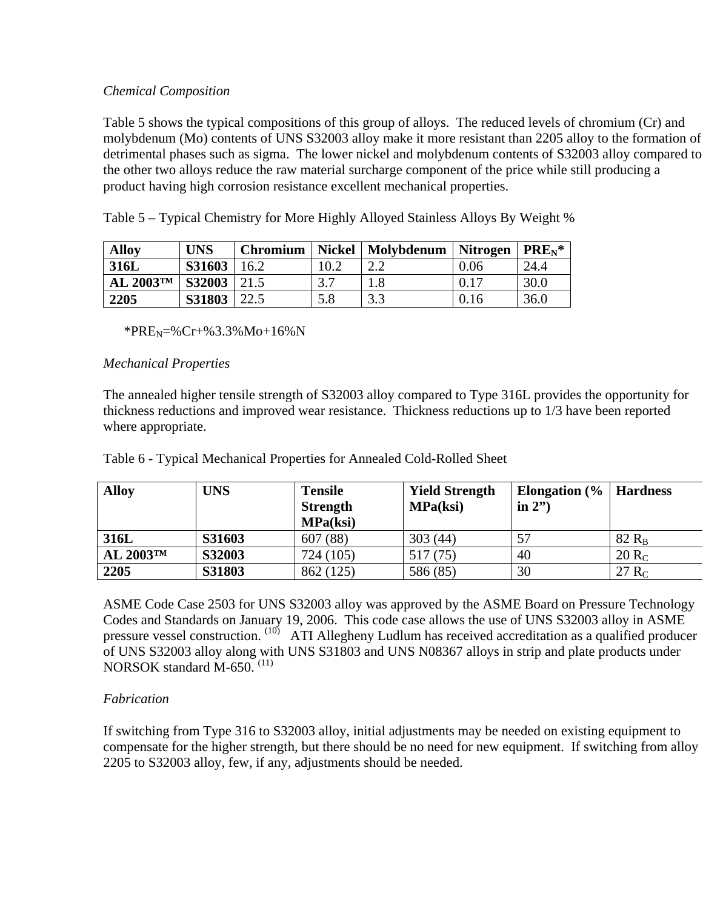# *Chemical Composition*

Table 5 shows the typical compositions of this group of alloys. The reduced levels of chromium (Cr) and molybdenum (Mo) contents of UNS S32003 alloy make it more resistant than 2205 alloy to the formation of detrimental phases such as sigma. The lower nickel and molybdenum contents of S32003 alloy compared to the other two alloys reduce the raw material surcharge component of the price while still producing a product having high corrosion resistance excellent mechanical properties.

Table 5 – Typical Chemistry for More Highly Alloyed Stainless Alloys By Weight %

| <b>Alloy</b>            | <b>UNS</b>      | <b>Chromium</b> |      | Nickel   Molybdenum | <b>Nitrogen</b> | $  PRE_{N^*} $ |
|-------------------------|-----------------|-----------------|------|---------------------|-----------------|----------------|
| 316L                    | $S31603$   16.2 |                 | 10.2 |                     | 0.06            | 24.4           |
| AL $2003$ <sup>TM</sup> | $S32003$   21.5 |                 |      |                     | 0.17            | 30.0           |
| 2205                    | S31803          | 22.5            | 5.8  | 3.3                 | 0.16            | 36.0           |

\*PRE<sub>N</sub>=%Cr+%3.3%Mo+16%N

# *Mechanical Properties*

The annealed higher tensile strength of S32003 alloy compared to Type 316L provides the opportunity for thickness reductions and improved wear resistance. Thickness reductions up to 1/3 have been reported where appropriate.

| <b>Alloy</b>            | UNS           | <b>Tensile</b><br><b>Strength</b><br>MPa(ksi) | <b>Yield Strength</b><br><b>MPa(ksi)</b> | Elongation $\left(\frac{9}{6}\right)$ Hardness<br>in $2"$ |          |
|-------------------------|---------------|-----------------------------------------------|------------------------------------------|-----------------------------------------------------------|----------|
| 316L                    | <b>S31603</b> | 607 (88)                                      | 303(44)                                  | 57                                                        | $82 R_B$ |
| AL $2003$ <sup>TM</sup> | <b>S32003</b> | 724 (105)                                     | 517 (75)                                 | 40                                                        | $20 R_C$ |
| 2205                    | S31803        | 862 (125)                                     | 586 (85)                                 | 30                                                        | 27 $R_C$ |

Table 6 - Typical Mechanical Properties for Annealed Cold-Rolled Sheet

ASME Code Case 2503 for UNS S32003 alloy was approved by the ASME Board on Pressure Technology Codes and Standards on January 19, 2006. This code case allows the use of UNS S32003 alloy in ASME pressure vessel construction. <sup>(10)</sup> ATI Allegheny Ludlum has received accreditation as a qualified producer of UNS S32003 alloy along with UNS S31803 and UNS N08367 alloys in strip and plate products under NORSOK standard M-650. (11)

# *Fabrication*

If switching from Type 316 to S32003 alloy, initial adjustments may be needed on existing equipment to compensate for the higher strength, but there should be no need for new equipment. If switching from alloy 2205 to S32003 alloy, few, if any, adjustments should be needed.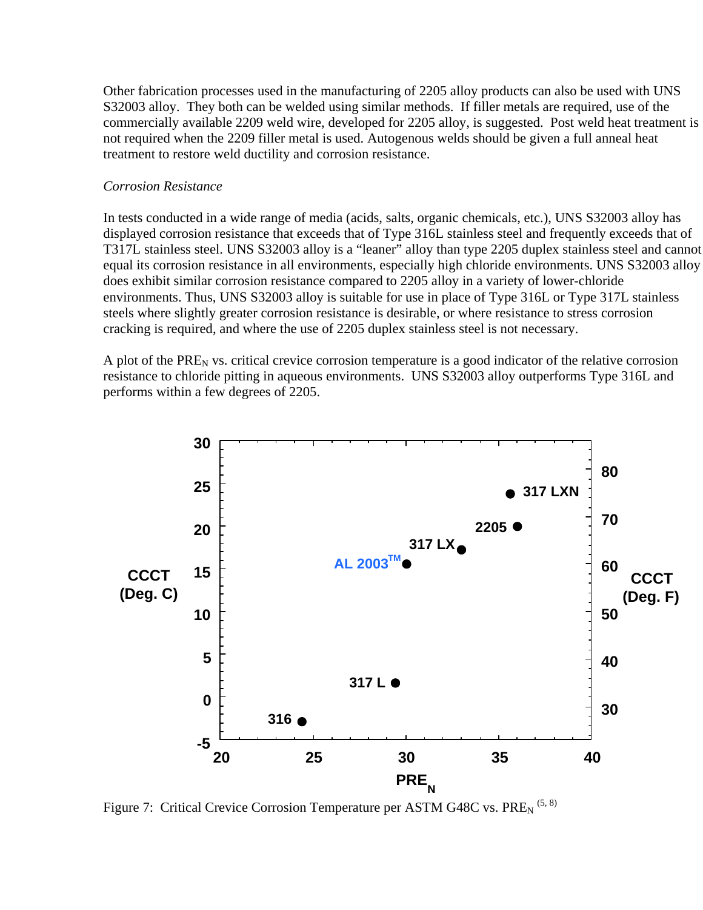Other fabrication processes used in the manufacturing of 2205 alloy products can also be used with UNS S32003 alloy. They both can be welded using similar methods. If filler metals are required, use of the commercially available 2209 weld wire, developed for 2205 alloy, is suggested. Post weld heat treatment is not required when the 2209 filler metal is used. Autogenous welds should be given a full anneal heat treatment to restore weld ductility and corrosion resistance.

#### *Corrosion Resistance*

In tests conducted in a wide range of media (acids, salts, organic chemicals, etc.), UNS S32003 alloy has displayed corrosion resistance that exceeds that of Type 316L stainless steel and frequently exceeds that of T317L stainless steel. UNS S32003 alloy is a "leaner" alloy than type 2205 duplex stainless steel and cannot equal its corrosion resistance in all environments, especially high chloride environments. UNS S32003 alloy does exhibit similar corrosion resistance compared to 2205 alloy in a variety of lower-chloride environments. Thus, UNS S32003 alloy is suitable for use in place of Type 316L or Type 317L stainless steels where slightly greater corrosion resistance is desirable, or where resistance to stress corrosion cracking is required, and where the use of 2205 duplex stainless steel is not necessary.

A plot of the  $PRE<sub>N</sub>$  vs. critical crevice corrosion temperature is a good indicator of the relative corrosion resistance to chloride pitting in aqueous environments. UNS S32003 alloy outperforms Type 316L and performs within a few degrees of 2205.

![](_page_10_Figure_4.jpeg)

Figure 7: Critical Crevice Corrosion Temperature per ASTM G48C vs. PRE<sub>N</sub><sup>(5,8)</sup>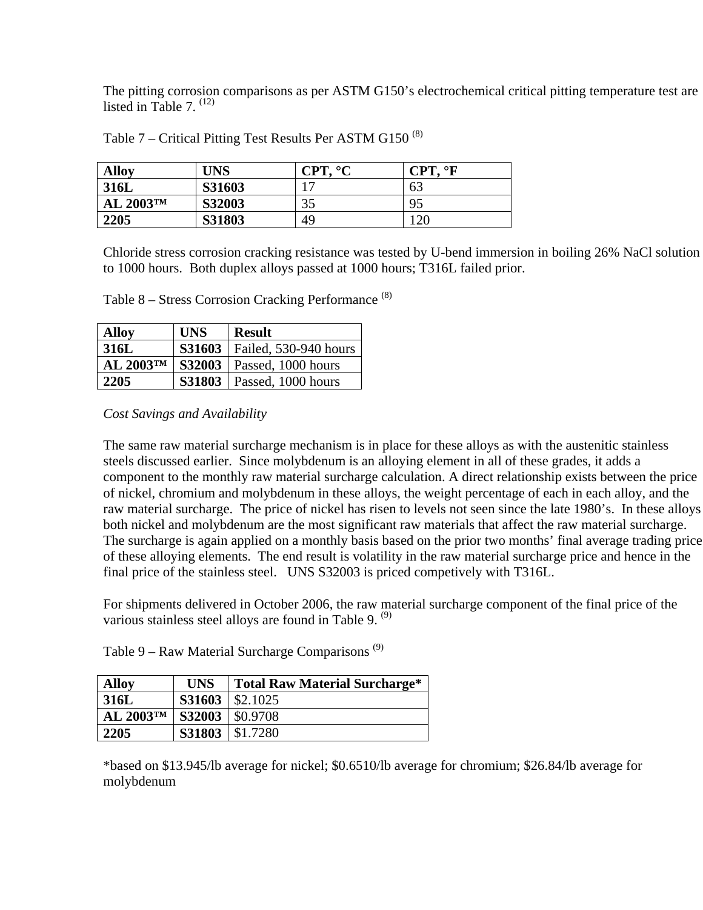The pitting corrosion comparisons as per ASTM G150's electrochemical critical pitting temperature test are listed in Table  $7^{(12)}$ 

| <b>Alloy</b>            | UNS           | $\circ$ $\sim$<br><b>CPT</b> | $\circ$<br><b>CPT</b> |
|-------------------------|---------------|------------------------------|-----------------------|
| 316L                    | <b>S31603</b> |                              | 63                    |
| AL $2003$ <sup>TM</sup> | <b>S32003</b> | 35                           | 95                    |
| 2205                    | S31803        | 49                           | 120                   |

Table 7 – Critical Pitting Test Results Per ASTM G150<sup>(8)</sup>

Chloride stress corrosion cracking resistance was tested by U-bend immersion in boiling 26% NaCl solution to 1000 hours. Both duplex alloys passed at 1000 hours; T316L failed prior.

Table 8 – Stress Corrosion Cracking Performance (8)

| <b>Alloy</b>          | <b>UNS</b>    | <b>Result</b>                      |
|-----------------------|---------------|------------------------------------|
| 316L                  | <b>S31603</b> | Failed, 530-940 hours              |
| AL 2003 <sup>TM</sup> | <b>S32003</b> | Passed, 1000 hours                 |
| 2205                  |               | <b>S31803</b>   Passed, 1000 hours |

*Cost Savings and Availability* 

The same raw material surcharge mechanism is in place for these alloys as with the austenitic stainless steels discussed earlier. Since molybdenum is an alloying element in all of these grades, it adds a component to the monthly raw material surcharge calculation. A direct relationship exists between the price of nickel, chromium and molybdenum in these alloys, the weight percentage of each in each alloy, and the raw material surcharge. The price of nickel has risen to levels not seen since the late 1980's. In these alloys both nickel and molybdenum are the most significant raw materials that affect the raw material surcharge. The surcharge is again applied on a monthly basis based on the prior two months' final average trading price of these alloying elements. The end result is volatility in the raw material surcharge price and hence in the final price of the stainless steel. UNS S32003 is priced competively with T316L.

For shipments delivered in October 2006, the raw material surcharge component of the final price of the various stainless steel alloys are found in Table 9.<sup>(9)</sup>

Table  $9 - Raw Material$  Surcharge Comparisons<sup>(9)</sup>

| <b>Alloy</b>            | <b>UNS</b> | <b>Total Raw Material Surcharge*</b> |
|-------------------------|------------|--------------------------------------|
| 316L                    |            | $$31603 \mid $2.1025$                |
| AL $2003$ <sup>TM</sup> |            | S32003   \$0.9708                    |
| 2205                    |            | S31803   \$1.7280                    |

\*based on \$13.945/lb average for nickel; \$0.6510/lb average for chromium; \$26.84/lb average for molybdenum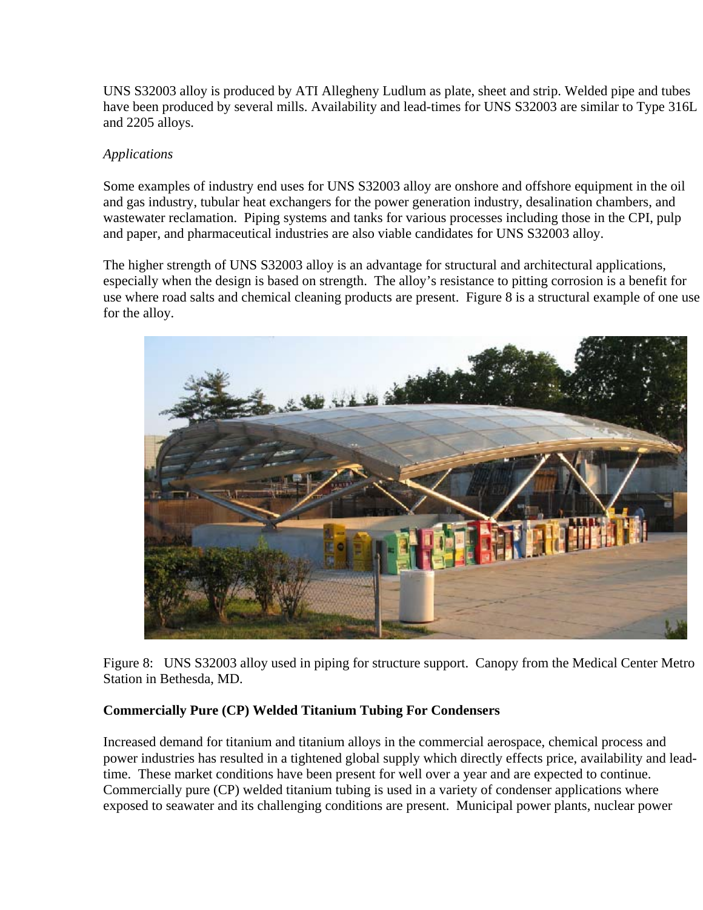UNS S32003 alloy is produced by ATI Allegheny Ludlum as plate, sheet and strip. Welded pipe and tubes have been produced by several mills. Availability and lead-times for UNS S32003 are similar to Type 316L and 2205 alloys.

# *Applications*

Some examples of industry end uses for UNS S32003 alloy are onshore and offshore equipment in the oil and gas industry, tubular heat exchangers for the power generation industry, desalination chambers, and wastewater reclamation. Piping systems and tanks for various processes including those in the CPI, pulp and paper, and pharmaceutical industries are also viable candidates for UNS S32003 alloy.

The higher strength of UNS S32003 alloy is an advantage for structural and architectural applications, especially when the design is based on strength. The alloy's resistance to pitting corrosion is a benefit for use where road salts and chemical cleaning products are present. Figure 8 is a structural example of one use for the alloy.

![](_page_12_Picture_4.jpeg)

Figure 8: UNS S32003 alloy used in piping for structure support. Canopy from the Medical Center Metro Station in Bethesda, MD.

# **Commercially Pure (CP) Welded Titanium Tubing For Condensers**

Increased demand for titanium and titanium alloys in the commercial aerospace, chemical process and power industries has resulted in a tightened global supply which directly effects price, availability and leadtime. These market conditions have been present for well over a year and are expected to continue. Commercially pure (CP) welded titanium tubing is used in a variety of condenser applications where exposed to seawater and its challenging conditions are present. Municipal power plants, nuclear power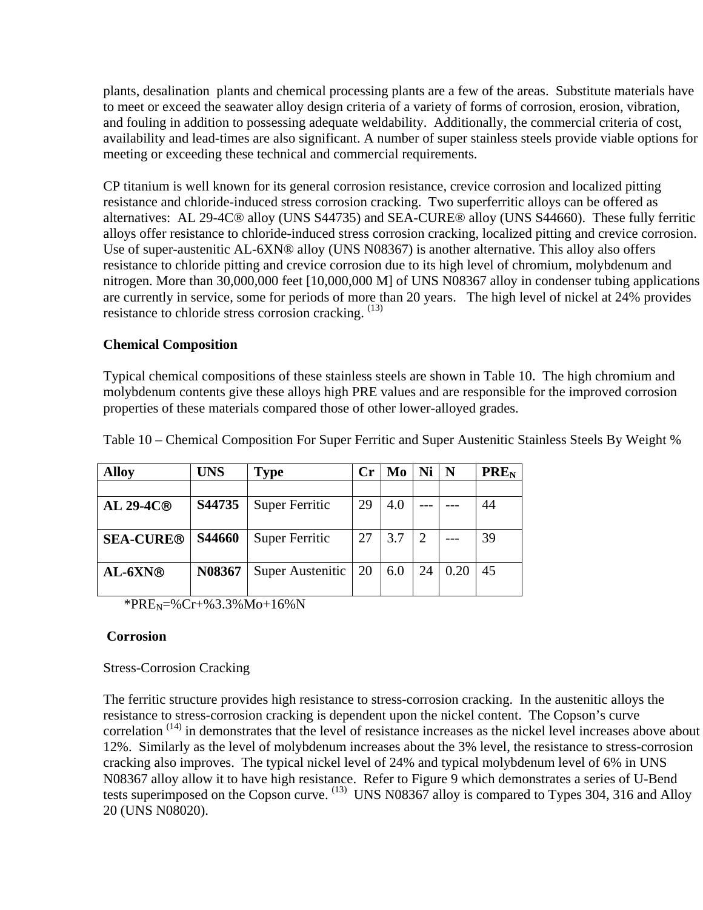plants, desalination plants and chemical processing plants are a few of the areas. Substitute materials have to meet or exceed the seawater alloy design criteria of a variety of forms of corrosion, erosion, vibration, and fouling in addition to possessing adequate weldability. Additionally, the commercial criteria of cost, availability and lead-times are also significant. A number of super stainless steels provide viable options for meeting or exceeding these technical and commercial requirements.

CP titanium is well known for its general corrosion resistance, crevice corrosion and localized pitting resistance and chloride-induced stress corrosion cracking. Two superferritic alloys can be offered as alternatives: AL 29-4C® alloy (UNS S44735) and SEA-CURE® alloy (UNS S44660). These fully ferritic alloys offer resistance to chloride-induced stress corrosion cracking, localized pitting and crevice corrosion. Use of super-austenitic AL-6XN® alloy (UNS N08367) is another alternative. This alloy also offers resistance to chloride pitting and crevice corrosion due to its high level of chromium, molybdenum and nitrogen. More than 30,000,000 feet [10,000,000 M] of UNS N08367 alloy in condenser tubing applications are currently in service, some for periods of more than 20 years. The high level of nickel at 24% provides resistance to chloride stress corrosion cracking. (13)

#### **Chemical Composition**

Typical chemical compositions of these stainless steels are shown in Table 10. The high chromium and molybdenum contents give these alloys high PRE values and are responsible for the improved corrosion properties of these materials compared those of other lower-alloyed grades.

| <b>Alloy</b>     | <b>UNS</b>    | Type                  |    | Mo  |    | N    | <b>PRE<sub>N</sub></b> |
|------------------|---------------|-----------------------|----|-----|----|------|------------------------|
|                  |               |                       |    |     |    |      |                        |
| AL 29-4C®        | S44735        | Super Ferritic        | 29 | 4.0 |    |      | 44                     |
|                  |               |                       |    |     |    |      |                        |
| <b>SEA-CURE®</b> | <b>S44660</b> | <b>Super Ferritic</b> | 27 | 3.7 |    |      | 39                     |
|                  |               |                       |    |     |    |      |                        |
| $AL-6XN@$        | N08367        | Super Austenitic      | 20 | 6.0 | 24 | 0.20 | 45                     |
|                  |               |                       |    |     |    |      |                        |

Table 10 – Chemical Composition For Super Ferritic and Super Austenitic Stainless Steels By Weight %

\*PRE<sub>N</sub>=%Cr+%3.3%Mo+16%N

#### **Corrosion**

Stress-Corrosion Cracking

The ferritic structure provides high resistance to stress-corrosion cracking. In the austenitic alloys the resistance to stress-corrosion cracking is dependent upon the nickel content. The Copson's curve correlation<sup>(14)</sup> in demonstrates that the level of resistance increases as the nickel level increases above about 12%. Similarly as the level of molybdenum increases about the 3% level, the resistance to stress-corrosion cracking also improves. The typical nickel level of 24% and typical molybdenum level of 6% in UNS N08367 alloy allow it to have high resistance. Refer to Figure 9 which demonstrates a series of U-Bend tests superimposed on the Copson curve.  $^{(13)}$  UNS N08367 alloy is compared to Types 304, 316 and Alloy 20 (UNS N08020).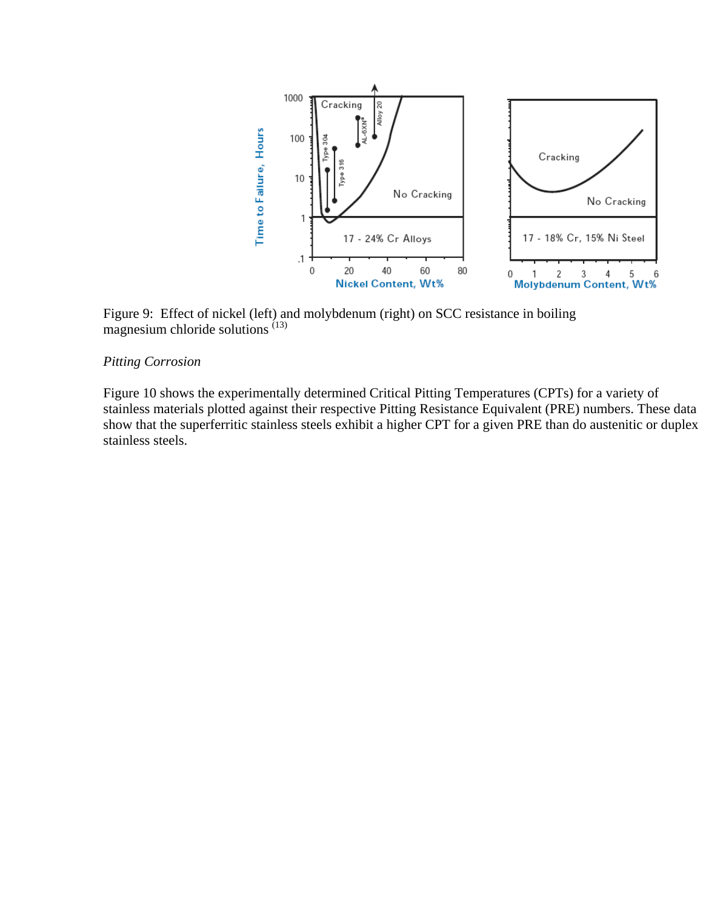![](_page_14_Figure_0.jpeg)

Figure 9: Effect of nickel (left) and molybdenum (right) on SCC resistance in boiling magnesium chloride solutions  $(13)$ 

# *Pitting Corrosion*

Figure 10 shows the experimentally determined Critical Pitting Temperatures (CPTs) for a variety of stainless materials plotted against their respective Pitting Resistance Equivalent (PRE) numbers. These data show that the superferritic stainless steels exhibit a higher CPT for a given PRE than do austenitic or duplex stainless steels.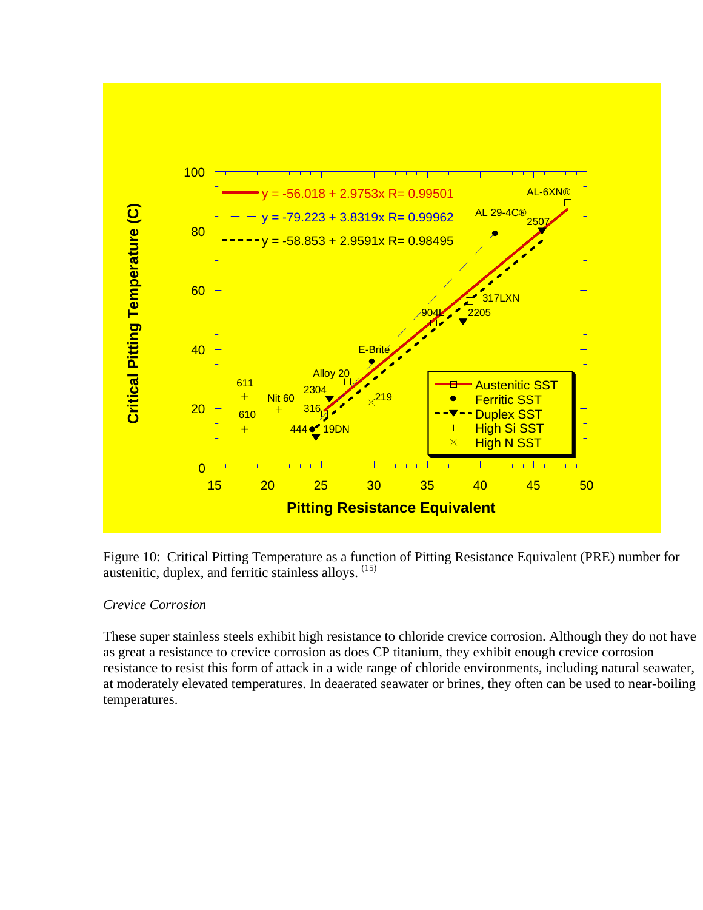![](_page_15_Figure_0.jpeg)

Figure 10: Critical Pitting Temperature as a function of Pitting Resistance Equivalent (PRE) number for austenitic, duplex, and ferritic stainless alloys. (15)

# *Crevice Corrosion*

These super stainless steels exhibit high resistance to chloride crevice corrosion. Although they do not have as great a resistance to crevice corrosion as does CP titanium, they exhibit enough crevice corrosion resistance to resist this form of attack in a wide range of chloride environments, including natural seawater, at moderately elevated temperatures. In deaerated seawater or brines, they often can be used to near-boiling temperatures.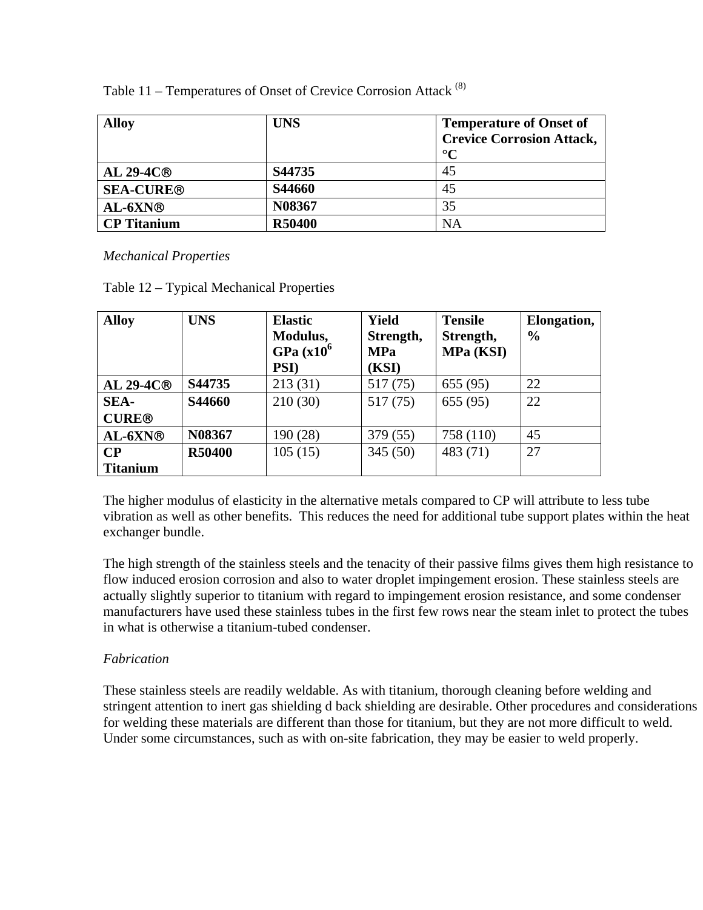| <b>Alloy</b>       | <b>UNS</b>    | <b>Temperature of Onset of</b>   |
|--------------------|---------------|----------------------------------|
|                    |               | <b>Crevice Corrosion Attack,</b> |
|                    |               | $\rm ^{\circ}C$                  |
| AL 29-4 $C®$       | S44735        | 45                               |
| <b>SEA-CURE®</b>   | <b>S44660</b> | 45                               |
| $AL-6XN@$          | N08367        | 35                               |
| <b>CP</b> Titanium | <b>R50400</b> | NA                               |

Table 11 – Temperatures of Onset of Crevice Corrosion Attack (8)

*Mechanical Properties* 

|  |  | Table 12 – Typical Mechanical Properties |  |
|--|--|------------------------------------------|--|
|--|--|------------------------------------------|--|

| <b>Alloy</b>    | <b>UNS</b>    | <b>Elastic</b><br>Modulus,<br>GPa $(x10^6)$<br><b>PSI</b> ) | <b>Yield</b><br>Strength,<br><b>MPa</b><br>(KSI) | <b>Tensile</b><br>Strength,<br>MPa (KSI) | Elongation,<br>$\frac{0}{0}$ |
|-----------------|---------------|-------------------------------------------------------------|--------------------------------------------------|------------------------------------------|------------------------------|
| $AL 29-4C@$     | S44735        | 213(31)                                                     | 517 (75)                                         | 655 (95)                                 | 22                           |
| SEA-            | S44660        | 210(30)                                                     | 517 (75)                                         | 655 (95)                                 | 22                           |
| <b>CURE®</b>    |               |                                                             |                                                  |                                          |                              |
| AL-6XN®         | N08367        | 190 (28)                                                    | 379 (55)                                         | 758 (110)                                | 45                           |
| $\bf CP$        | <b>R50400</b> | 105(15)                                                     | 345(50)                                          | 483 (71)                                 | 27                           |
| <b>Titanium</b> |               |                                                             |                                                  |                                          |                              |

The higher modulus of elasticity in the alternative metals compared to CP will attribute to less tube vibration as well as other benefits. This reduces the need for additional tube support plates within the heat exchanger bundle.

The high strength of the stainless steels and the tenacity of their passive films gives them high resistance to flow induced erosion corrosion and also to water droplet impingement erosion. These stainless steels are actually slightly superior to titanium with regard to impingement erosion resistance, and some condenser manufacturers have used these stainless tubes in the first few rows near the steam inlet to protect the tubes in what is otherwise a titanium-tubed condenser.

# *Fabrication*

These stainless steels are readily weldable. As with titanium, thorough cleaning before welding and stringent attention to inert gas shielding d back shielding are desirable. Other procedures and considerations for welding these materials are different than those for titanium, but they are not more difficult to weld. Under some circumstances, such as with on-site fabrication, they may be easier to weld properly.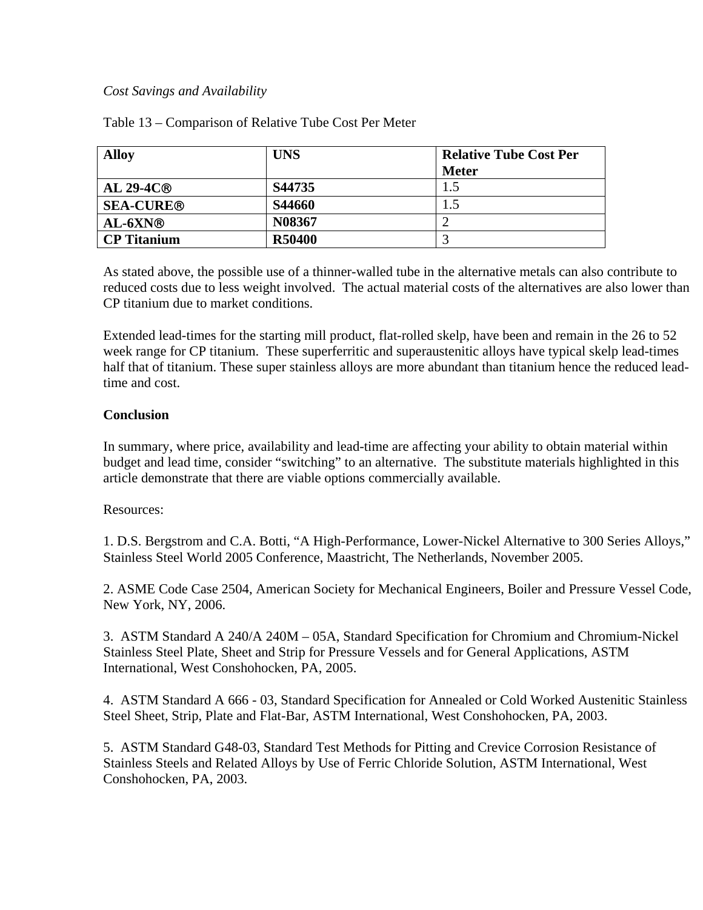#### *Cost Savings and Availability*

| <b>Alloy</b>       | <b>UNS</b>    | <b>Relative Tube Cost Per</b> |  |
|--------------------|---------------|-------------------------------|--|
|                    |               | <b>Meter</b>                  |  |
| $AL 29-4C@$        | S44735        | 1.5                           |  |
| <b>SEA-CURE®</b>   | S44660        | 1.5                           |  |
| $AL-6XN@$          | N08367        |                               |  |
| <b>CP</b> Titanium | <b>R50400</b> |                               |  |

Table 13 – Comparison of Relative Tube Cost Per Meter

As stated above, the possible use of a thinner-walled tube in the alternative metals can also contribute to reduced costs due to less weight involved. The actual material costs of the alternatives are also lower than CP titanium due to market conditions.

Extended lead-times for the starting mill product, flat-rolled skelp, have been and remain in the 26 to 52 week range for CP titanium. These superferritic and superaustenitic alloys have typical skelp lead-times half that of titanium. These super stainless alloys are more abundant than titanium hence the reduced leadtime and cost.

# **Conclusion**

In summary, where price, availability and lead-time are affecting your ability to obtain material within budget and lead time, consider "switching" to an alternative. The substitute materials highlighted in this article demonstrate that there are viable options commercially available.

# Resources:

1. D.S. Bergstrom and C.A. Botti, "A High-Performance, Lower-Nickel Alternative to 300 Series Alloys," Stainless Steel World 2005 Conference, Maastricht, The Netherlands, November 2005.

2. ASME Code Case 2504, American Society for Mechanical Engineers, Boiler and Pressure Vessel Code, New York, NY, 2006.

3. ASTM Standard A 240/A 240M – 05A, Standard Specification for Chromium and Chromium-Nickel Stainless Steel Plate, Sheet and Strip for Pressure Vessels and for General Applications, ASTM International, West Conshohocken, PA, 2005.

4. ASTM Standard A 666 - 03, Standard Specification for Annealed or Cold Worked Austenitic Stainless Steel Sheet, Strip, Plate and Flat-Bar, ASTM International, West Conshohocken, PA, 2003.

5. ASTM Standard G48-03, Standard Test Methods for Pitting and Crevice Corrosion Resistance of Stainless Steels and Related Alloys by Use of Ferric Chloride Solution, ASTM International, West Conshohocken, PA, 2003.